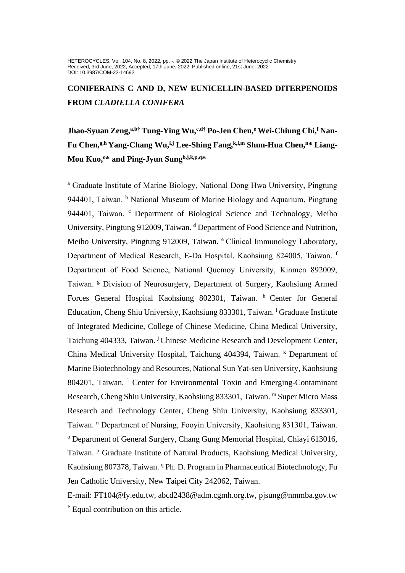HETEROCYCLES, Vol. 104, No. 8, 2022, pp. -. @ 2022 The Japan Institute of Heterocyclic Chemistry Received, 3rd June, 2022, Accepted, 17th June, 2022, Published online, 21st June, 2022 DOI: 10.3987/COM-22-14692

**CONIFERAINS C AND D, NEW EUNICELLIN-BASED DITERPENOIDS FROM** *CLADIELLA CONIFERA* 

**Jhao-Syuan Zeng,a,b† Tung-Ying Wu,c,d† Po-Jen Chen,<sup>e</sup> Wei-Chiung Chi,<sup>f</sup> Nan-Fu Chen,g,h Yang-Chang Wu,i,j Lee-Shing Fang,k,l,m Shun-Hua Chen,<sup>n</sup>\* Liang-Mou Kuo,<sup>o</sup>\* and Ping-Jyun Sungb,j,k,p,q\***

<sup>a</sup> Graduate Institute of Marine Biology, National Dong Hwa University, Pingtung 944401, Taiwan. <sup>b</sup> National Museum of Marine Biology and Aquarium, Pingtung 944401, Taiwan. <sup>c</sup> Department of Biological Science and Technology, Meiho University, Pingtung 912009, Taiwan. <sup>d</sup> Department of Food Science and Nutrition, Meiho University, Pingtung 912009, Taiwan. <sup>e</sup> Clinical Immunology Laboratory, Department of Medical Research, E-Da Hospital, Kaohsiung 824005, Taiwan. <sup>f</sup> Department of Food Science, National Quemoy University, Kinmen 892009, Taiwan. <sup>g</sup> Division of Neurosurgery, Department of Surgery, Kaohsiung Armed Forces General Hospital Kaohsiung 802301, Taiwan. <sup>h</sup> Center for General Education, Cheng Shiu University, Kaohsiung 833301, Taiwan. <sup>i</sup> Graduate Institute of Integrated Medicine, College of Chinese Medicine, China Medical University, Taichung 404333, Taiwan. <sup>j</sup> Chinese Medicine Research and Development Center, China Medical University Hospital, Taichung 404394, Taiwan. <sup>k</sup> Department of Marine Biotechnology and Resources, National Sun Yat-sen University, Kaohsiung 804201, Taiwan.<sup>1</sup> Center for Environmental Toxin and Emerging-Contaminant Research, Cheng Shiu University, Kaohsiung 833301, Taiwan. <sup>m</sup> Super Micro Mass Research and Technology Center, Cheng Shiu University, Kaohsiung 833301, Taiwan. <sup>n</sup> Department of Nursing, Fooyin University, Kaohsiung 831301, Taiwan. <sup>o</sup> Department of General Surgery, Chang Gung Memorial Hospital, Chiayi 613016, Taiwan. <sup>p</sup> Graduate Institute of Natural Products, Kaohsiung Medical University, Kaohsiung 807378, Taiwan. <sup>q</sup> Ph. D. Program in Pharmaceutical Biotechnology, Fu Jen Catholic University, New Taipei City 242062, Taiwan.

E-mail: [FT104@fy.edu.tw,](mailto:FT104@fy.edu.tw) abcd2438@adm.cgmh.org.tw, [pjsung@nmmba.gov.tw](mailto:pjsung@nmmba.gov.tw) <sup>†</sup> Equal contribution on this article.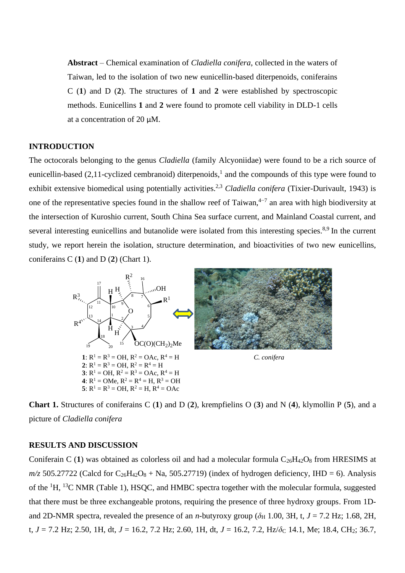**Abstract** – Chemical examination of *Cladiella conifera*, collected in the waters of Taiwan, led to the isolation of two new eunicellin-based diterpenoids, coniferains C (**1**) and D (**2**). The structures of **1** and **2** were established by spectroscopic methods. Eunicellins **1** and **2** were found to promote cell viability in DLD-1 cells at a concentration of 20 μM.

## **INTRODUCTION**

The octocorals belonging to the genus *Cladiella* (family Alcyoniidae) were found to be a rich source of eunicellin-based (2,11-cyclized cembranoid) diterpenoids,<sup>1</sup> and the compounds of this type were found to exhibit extensive biomedical using potentially activities.<sup>2,3</sup> *Cladiella conifera* (Tixier-Durivault, 1943) is one of the representative species found in the shallow reef of Taiwan, $4-7$  an area with high biodiversity at the intersection of Kuroshio current, South China Sea surface current, and Mainland Coastal current, and several interesting eunicellins and butanolide were isolated from this interesting species.<sup>8,9</sup> In the current study, we report herein the isolation, structure determination, and bioactivities of two new eunicellins, coniferains C (**1**) and D (**2**) (Chart 1).



**Chart 1.** Structures of coniferains C (**1**) and D (**2**), krempfielins O (**3**) and N (**4**), klymollin P (**5**), and a picture of *Cladiella conifera*

### **RESULTS AND DISCUSSION**

Coniferain C (1) was obtained as colorless oil and had a molecular formula  $C_{26}H_{42}O_8$  from HRESIMS at  $m/z$  505.27722 (Calcd for  $C_{26}H_{42}O_8 + Na$ , 505.27719) (index of hydrogen deficiency, IHD = 6). Analysis of the  ${}^{1}H$ ,  ${}^{13}C$  NMR (Table 1), HSOC, and HMBC spectra together with the molecular formula, suggested that there must be three exchangeable protons, requiring the presence of three hydroxy groups. From 1Dand 2D-NMR spectra, revealed the presence of an *n*-butyroxy group ( $\delta_H$  1.00, 3H, t, *J* = 7.2 Hz; 1.68, 2H, t,  $J = 7.2$  Hz; 2.50, 1H, dt,  $J = 16.2$ , 7.2 Hz; 2.60, 1H, dt,  $J = 16.2$ , 7.2, Hz/ $\delta$ <sub>C</sub> 14.1, Me; 18.4, CH<sub>2</sub>; 36.7,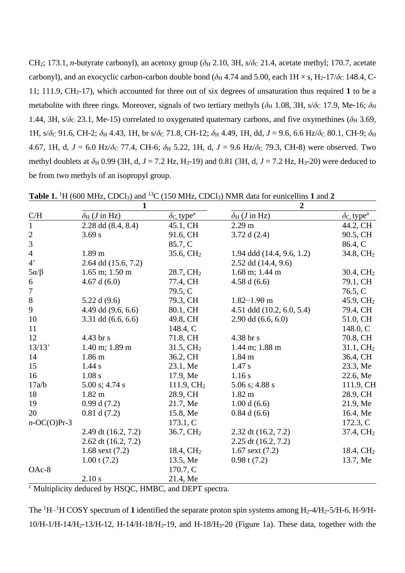CH<sub>2</sub>; 173.1, *n*-butyrate carbonyl), an acetoxy group ( $\delta$ H 2.10, 3H, s/ $\delta$ C 21.4, acetate methyl; 170.7, acetate carbonyl), and an exocyclic carbon-carbon double bond ( $\delta$ H 4.74 and 5.00, each 1H × s, H<sub>2</sub>-17/ $\delta$ <sub>C</sub> 148.4, C-11; 111.9,  $CH_2$ -17), which accounted for three out of six degrees of unsaturation thus required 1 to be a metabolite with three rings. Moreover, signals of two tertiary methyls ( $\delta_H$  1.08, 3H, s/ $\delta_C$  17.9, Me-16;  $\delta_H$ 1.44, 3H, s/ $\delta$ <sub>C</sub> 23.1, Me-15) correlated to oxygenated quaternary carbons, and five oxymethines ( $\delta$ <sub>H</sub> 3.69, 1H, s/ $\delta$ C 91.6, CH-2;  $\delta$ H 4.43, 1H, br s/ $\delta$ C 71.8, CH-12;  $\delta$ H 4.49, 1H, dd,  $J = 9.6$ , 6.6 Hz/ $\delta$ C 80.1, CH-9;  $\delta$ H 4.67, 1H, d,  $J = 6.0$  Hz/ $\delta$ <sub>C</sub> 77.4, CH-6;  $\delta$ <sub>H</sub> 5.22, 1H, d,  $J = 9.6$  Hz/ $\delta$ <sub>C</sub> 79.3, CH-8) were observed. Two methyl doublets at  $\delta_H$  0.99 (3H, d, *J* = 7.2 Hz, H<sub>3</sub>-19) and 0.81 (3H, d, *J* = 7.2 Hz, H<sub>3</sub>-20) were deduced to be from two methyls of an isopropyl group.

|                             | 1                                   |                                | $\overline{2}$               |                                |
|-----------------------------|-------------------------------------|--------------------------------|------------------------------|--------------------------------|
| C/H                         | $\delta_H$ ( <i>J</i> in Hz)        | $\delta c$ , type <sup>a</sup> | $\delta_H$ ( <i>J</i> in Hz) | $\delta c$ , type <sup>a</sup> |
| $\mathbf{1}$                | 2.28 dd (8.4, 8.4)                  | 45.1, CH                       | $2.29 \text{ m}$             | 44.2, CH                       |
|                             | 3.69 s                              | 91.6, CH                       | 3.72 d $(2.4)$               | 90.5, CH                       |
| $\frac{2}{3}$               |                                     | 85.7, C                        |                              | 86.4, C                        |
| $\overline{4}$              | 1.89 <sub>m</sub>                   | $35.6, \mathrm{CH}_2$          | 1.94 ddd $(14.4, 9.6, 1.2)$  | 34.8, CH <sub>2</sub>          |
| 4'                          | 2.64 dd (15.6, 7.2)                 |                                | $2.52$ dd $(14.4, 9.6)$      |                                |
| $5\alpha/\beta$             | $1.65$ m; $1.50$ m                  | 28.7, CH <sub>2</sub>          | $1.68$ m; $1.44$ m           | 30.4, CH <sub>2</sub>          |
| 6                           | 4.67 d $(6.0)$                      | 77.4, CH                       | 4.58 d $(6.6)$               | 79.1, CH                       |
| $\boldsymbol{7}$            |                                     | 79.5, C                        |                              | 76.5, C                        |
| $8\,$                       | 5.22 d $(9.6)$                      | 79.3, CH                       | $1.82 - 1.90$ m              | 45.9, $CH2$                    |
| 9                           | 4.49 dd $(9.6, 6.6)$                | 80.1, CH                       | 4.51 ddd $(10.2, 6.0, 5.4)$  | 79.4, CH                       |
| 10                          | $3.31$ dd $(6.6, 6.6)$              | 49.8, CH                       | $2.90$ dd $(6.6, 6.0)$       | 51.0, CH                       |
| 11                          |                                     | 148.4, C                       |                              | 148.0, C                       |
| 12                          | 4.43 br s                           | 71.8, CH                       | 4.38 br s                    | 70.8, CH                       |
| 13/13'                      | $1.40 \text{ m}$ ; $1.89 \text{ m}$ | $31.5, \mathrm{CH}_2$          | $1.44$ m; $1.88$ m           | 31.1, CH <sub>2</sub>          |
| 14                          | 1.86 <sub>m</sub>                   | 36.2, CH                       | 1.84 m                       | 36.4, CH                       |
| 15                          | 1.44 s                              | 23.1, Me                       | 1.47 s                       | 23.3, Me                       |
| 16                          | 1.08 s                              | 17.9, Me                       | 1.16s                        | 22.6, Me                       |
| 17a/b                       | $5.00$ s; 4.74 s                    | 111.9, CH <sub>2</sub>         | 5.06 s; 4.88 s               | 111.9, CH                      |
| 18                          | $1.82 \text{ m}$                    | 28.9, CH                       | $1.82 \text{ m}$             | 28.9, CH                       |
| 19                          | 0.99 d(7.2)                         | 21.7, Me                       | 1.00 d(6.6)                  | 21.9, Me                       |
| 20                          | 0.81 d(7.2)                         | 15.8, Me                       | $0.84$ d $(6.6)$             | 16.4, Me                       |
| $n\text{-}OC(O)Pr\text{-}3$ |                                     | 173.1, C                       |                              | 172.3, C                       |
|                             | 2.49 dt (16.2, 7.2)                 | 36.7, CH <sub>2</sub>          | 2.32 dt $(16.2, 7.2)$        | 37.4, CH <sub>2</sub>          |
|                             | 2.62 dt $(16.2, 7.2)$               |                                | $2.25$ dt $(16.2, 7.2)$      |                                |
|                             | 1.68 sext $(7.2)$                   | 18.4, CH <sub>2</sub>          | $1.67$ sext $(7.2)$          | 18.4, CH <sub>2</sub>          |
|                             | 1.00 t(7.2)                         | 13.5, Me                       | 0.98 t(7.2)                  | 13.7, Me                       |
| OAc-8                       |                                     | 170.7, C                       |                              |                                |
|                             | 2.10 s                              | 21.4, Me                       |                              |                                |

**Table 1.** <sup>1</sup>H (600 MHz, CDCl<sub>3</sub>) and <sup>13</sup>C (150 MHz, CDCl<sub>3</sub>) NMR data for eunicellins **1** and **2** 

 $\overline{c}$  Multiplicity deduced by HSQC, HMBC, and DEPT spectra.

The <sup>1</sup>H<sup>-1</sup>H COSY spectrum of **1** identified the separate proton spin systems among H<sub>2</sub>-4/H<sub>2</sub>-5/H-6, H-9/H-10/H-1/H-14/H2-13/H-12, H-14/H-18/H3-19, and H-18/H3-20 (Figure 1a). These data, together with the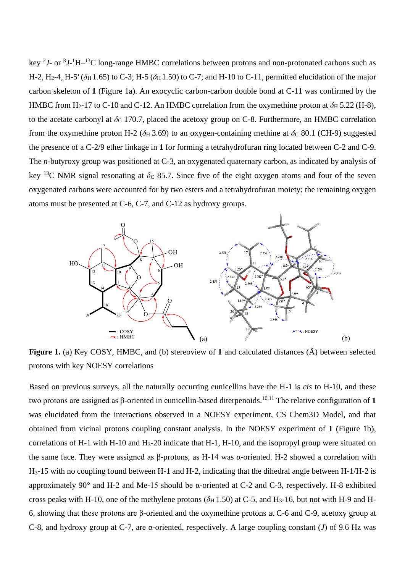key <sup>2</sup>*J*- or <sup>3</sup>*J*-<sup>1</sup>H<sup>-13</sup>C long-range HMBC correlations between protons and non-protonated carbons such as H-2, H<sub>2</sub>-4, H-5' ( $\delta$ H 1.65) to C-3; H-5 ( $\delta$ H 1.50) to C-7; and H-10 to C-11, permitted elucidation of the major carbon skeleton of **1** (Figure 1a). An exocyclic carbon-carbon double bond at C-11 was confirmed by the HMBC from H<sub>2</sub>-17 to C-10 and C-12. An HMBC correlation from the oxymethine proton at  $\delta_H$  5.22 (H-8), to the acetate carbonyl at  $\delta_c$  170.7, placed the acetoxy group on C-8. Furthermore, an HMBC correlation from the oxymethine proton H-2 ( $\delta$ H 3.69) to an oxygen-containing methine at  $\delta$ C 80.1 (CH-9) suggested the presence of a C-2/9 ether linkage in **1** for forming a tetrahydrofuran ring located between C-2 and C-9. The *n*-butyroxy group was positioned at C-3, an oxygenated quaternary carbon, as indicated by analysis of key <sup>13</sup>C NMR signal resonating at  $\delta$ c 85.7. Since five of the eight oxygen atoms and four of the seven oxygenated carbons were accounted for by two esters and a tetrahydrofuran moiety; the remaining oxygen atoms must be presented at C-6, C-7, and C-12 as hydroxy groups.



**Figure 1.** (a) Key COSY, HMBC, and (b) stereoview of **1** and calculated distances (Å) between selected protons with key NOESY correlations

Based on previous surveys, all the naturally occurring eunicellins have the H-1 is *cis* to H-10, and these two protons are assigned as β-oriented in eunicellin-based diterpenoids.10,11 The relative configuration of **1** was elucidated from the interactions observed in a NOESY experiment, CS Chem3D Model, and that obtained from vicinal protons coupling constant analysis. In the NOESY experiment of **1** (Figure 1b), correlations of H-1 with H-10 and H3-20 indicate that H-1, H-10, and the isopropyl group were situated on the same face. They were assigned as β-protons, as H-14 was α-oriented. H-2 showed a correlation with H3-15 with no coupling found between H-1 and H-2, indicating that the dihedral angle between H-1/H-2 is approximately 90° and H-2 and Me-15 should be α-oriented at C-2 and C-3, respectively. H-8 exhibited cross peaks with H-10, one of the methylene protons ( $\delta_H$  1.50) at C-5, and H<sub>3</sub>-16, but not with H-9 and H-6, showing that these protons are β-oriented and the oxymethine protons at C-6 and C-9, acetoxy group at C-8, and hydroxy group at C-7, are α-oriented, respectively. A large coupling constant (*J*) of 9.6 Hz was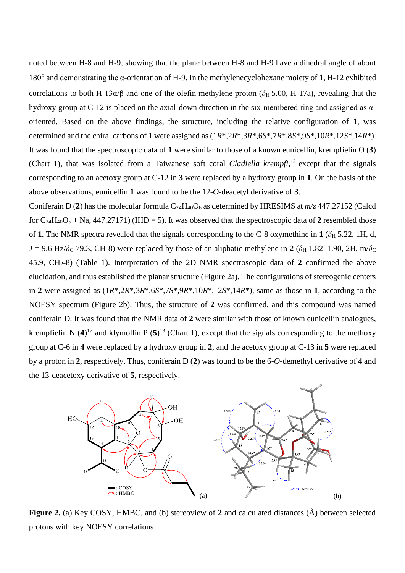noted between H-8 and H-9, showing that the plane between H-8 and H-9 have a dihedral angle of about 180° and demonstrating the α-orientation of H-9. In the methylenecyclohexane moiety of **1**, H-12 exhibited correlations to both H-13 $\alpha$ /β and one of the olefin methylene proton ( $\delta$ H 5.00, H-17a), revealing that the hydroxy group at C-12 is placed on the axial-down direction in the six-membered ring and assigned as αoriented. Based on the above findings, the structure, including the relative configuration of **1**, was determined and the chiral carbons of **1** were assigned as (1*R*\*,2*R*\*,3*R*\*,6*S*\*,7*R*\*,8*S*\*,9*S*\*,10*R*\*,12*S*\*,14*R*\*). It was found that the spectroscopic data of **1** were similar to those of a known eunicellin, krempfielin O (**3**) (Chart 1), that was isolated from a Taiwanese soft coral *Cladiella krempfi*, <sup>12</sup> except that the signals corresponding to an acetoxy group at C-12 in **3** were replaced by a hydroxy group in **1**. On the basis of the above observations, eunicellin **1** was found to be the 12-*O*-deacetyl derivative of **3**.

Coniferain D (2) has the molecular formula  $C_{24}H_{40}O_6$  as determined by HRESIMS at  $m/z$  447.27152 (Calcd for  $C_{24}H_{40}O_5$  + Na, 447.27171) (IHD = 5). It was observed that the spectroscopic data of 2 resembled those of **1**. The NMR spectra revealed that the signals corresponding to the C-8 oxymethine in **1** ( $\delta$ <sub>H</sub> 5.22, 1H, d,  $J = 9.6$  Hz/ $\delta$ <sub>C</sub> 79.3, CH-8) were replaced by those of an aliphatic methylene in **2** ( $\delta$ <sub>H</sub> 1.82–1.90, 2H, m/ $\delta$ <sub>C</sub> 45.9, CH2-8) (Table 1). Interpretation of the 2D NMR spectroscopic data of **2** confirmed the above elucidation, and thus established the planar structure (Figure 2a). The configurations of stereogenic centers in **2** were assigned as (1*R*\*,2*R*\*,3*R*\*,6*S*\*,7*S*\*,9*R*\*,10*R*\*,12*S*\*,14*R*\*), same as those in **1**, according to the NOESY spectrum (Figure 2b). Thus, the structure of **2** was confirmed, and this compound was named coniferain D. It was found that the NMR data of **2** were similar with those of known eunicellin analogues, krempfielin N  $(4)^{12}$  and klymollin P  $(5)^{13}$  (Chart 1), except that the signals corresponding to the methoxy group at C-6 in **4** were replaced by a hydroxy group in **2**; and the acetoxy group at C-13 in **5** were replaced by a proton in **2**, respectively. Thus, coniferain D (**2**) was found to be the 6-*O*-demethyl derivative of **4** and the 13-deacetoxy derivative of **5**, respectively.



**Figure 2.** (a) Key COSY, HMBC, and (b) stereoview of **2** and calculated distances (Å) between selected protons with key NOESY correlations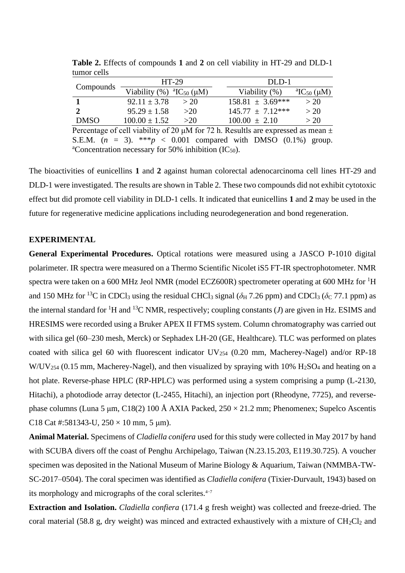|                                                                                           | $HT-29$                                                                                                                                                                                                                                                                                                                                                |      | DLD-1                                                       |                                          |  |  |  |
|-------------------------------------------------------------------------------------------|--------------------------------------------------------------------------------------------------------------------------------------------------------------------------------------------------------------------------------------------------------------------------------------------------------------------------------------------------------|------|-------------------------------------------------------------|------------------------------------------|--|--|--|
| Compounds                                                                                 | Viability $%$ $^{\circ}$ $^{\circ}$ $^{\circ}$ $^{\circ}$ $^{\circ}$ $^{\circ}$ $^{\circ}$ $^{\circ}$ $^{\circ}$ $^{\circ}$ $^{\circ}$ $^{\circ}$ $^{\circ}$ $^{\circ}$ $^{\circ}$ $^{\circ}$ $^{\circ}$ $^{\circ}$ $^{\circ}$ $^{\circ}$ $^{\circ}$ $^{\circ}$ $^{\circ}$ $^{\circ}$ $^{\circ}$ $^{\circ}$ $^{\circ}$ $^{\circ}$ $^{\circ}$ $^{\circ$ |      | Viability (%)                                               | <sup>a</sup> IC <sub>50</sub> ( $\mu$ M) |  |  |  |
|                                                                                           | $92.11 \pm 3.78$                                                                                                                                                                                                                                                                                                                                       | > 20 | $158.81 \pm 3.69***$                                        | >20                                      |  |  |  |
| $\mathbf{2}$                                                                              | $95.29 \pm 1.58$                                                                                                                                                                                                                                                                                                                                       | >20  | $145.77 \pm 7.12***$                                        | >20                                      |  |  |  |
| <b>DMSO</b>                                                                               | $100.00 \pm 1.52$                                                                                                                                                                                                                                                                                                                                      | >20  | $100.00 \pm 2.10$                                           | >20                                      |  |  |  |
| Percentage of cell viability of 20 $\mu$ M for 72 h. Resultls are expressed as mean $\pm$ |                                                                                                                                                                                                                                                                                                                                                        |      |                                                             |                                          |  |  |  |
|                                                                                           |                                                                                                                                                                                                                                                                                                                                                        |      | $SEM (n = 3)$ ***p < 0.001 compared with DMSO (0.1%) group. |                                          |  |  |  |

**Table 2.** Effects of compounds **1** and **2** on cell viability in HT-29 and DLD-1 tumor cells

with DMSO (0.1%*)* group. <sup>a</sup>Concentration necessary for 50% inhibition  $(IC_{50})$ .

The bioactivities of eunicellins **1** and **2** against human colorectal adenocarcinoma cell lines HT-29 and DLD-1 were investigated. The results are shown in Table 2. These two compounds did not exhibit cytotoxic effect but did promote cell viability in DLD-1 cells. It indicated that eunicellins **1** and **2** may be used in the future for regenerative medicine applications including neurodegeneration and bond regeneration.

# **EXPERIMENTAL**

**General Experimental Procedures.** Optical rotations were measured using a JASCO P-1010 digital polarimeter. IR spectra were measured on a Thermo Scientific Nicolet iS5 FT-IR spectrophotometer. NMR spectra were taken on a 600 MHz Jeol NMR (model ECZ600R) spectrometer operating at 600 MHz for <sup>1</sup>H and 150 MHz for <sup>13</sup>C in CDCl<sub>3</sub> using the residual CHCl<sub>3</sub> signal ( $\delta$ <sub>H</sub> 7.26 ppm) and CDCl<sub>3</sub> ( $\delta$ <sub>C</sub> 77.1 ppm) as the internal standard for <sup>1</sup>H and <sup>13</sup>C NMR, respectively; coupling constants (*J*) are given in Hz. ESIMS and HRESIMS were recorded using a Bruker APEX II FTMS system. Column chromatography was carried out with silica gel (60–230 mesh, Merck) or Sephadex LH-20 (GE, Healthcare). TLC was performed on plates coated with silica gel 60 with fluorescent indicator  $UV_{254}$  (0.20 mm, Macherey-Nagel) and/or RP-18  $W/UV_{254}$  (0.15 mm, Macherey-Nagel), and then visualized by spraying with 10%  $H_2SO_4$  and heating on a hot plate. Reverse-phase HPLC (RP-HPLC) was performed using a system comprising a pump (L-2130, Hitachi), a photodiode array detector (L-2455, Hitachi), an injection port (Rheodyne, 7725), and reversephase columns (Luna 5 µm, C18(2) 100 Å AXIA Packed,  $250 \times 21.2$  mm; Phenomenex; Supelco Ascentis C18 Cat #:581343-U,  $250 \times 10$  mm, 5 µm).

**Animal Material.** Specimens of *Cladiella conifera* used for this study were collected in May 2017 by hand with SCUBA divers off the coast of Penghu Archipelago, Taiwan (N.23.15.203, E119.30.725). A voucher specimen was deposited in the National Museum of Marine Biology & Aquarium, Taiwan (NMMBA-TW-SC-2017–0504). The coral specimen was identified as *Cladiella conifera* (Tixier-Durvault, 1943) based on its morphology and micrographs of the coral sclerites.4−7

**Extraction and Isolation.** *Cladiella confiera* (171.4 g fresh weight) was collected and freeze-dried. The coral material (58.8 g, dry weight) was minced and extracted exhaustively with a mixture of  $CH_2Cl_2$  and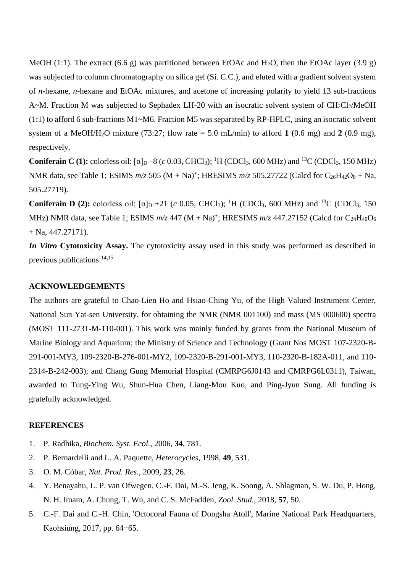MeOH (1:1). The extract (6.6 g) was partitioned between EtOAc and H<sub>2</sub>O, then the EtOAc layer (3.9 g) was subjected to column chromatography on silica gel (Si. C.C.), and eluted with a gradient solvent system of *n*-hexane, *n*-hexane and EtOAc mixtures, and acetone of increasing polarity to yield 13 sub-fractions A~M. Fraction M was subjected to Sephadex LH-20 with an isocratic solvent system of  $CH_2Cl_2/MeOH$ (1:1) to afford 6 sub-fractions M1~M6. Fraction M5 was separated by RP-HPLC, using an isocratic solvent system of a MeOH/H<sub>2</sub>O mixture (73:27; flow rate  $= 5.0$  mL/min) to afford 1 (0.6 mg) and 2 (0.9 mg), respectively.

**Coniferain C** (1): colorless oil;  $[\alpha]_D - 8$  (*c* 0.03, CHCl<sub>3</sub>); <sup>1</sup>H (CDCl<sub>3</sub>, 600 MHz) and <sup>13</sup>C (CDCl<sub>3</sub>, 150 MHz) NMR data, see Table 1; ESIMS  $m/z$  505 (M + Na)<sup>+</sup>; HRESIMS  $m/z$  505.27722 (Calcd for C<sub>26</sub>H<sub>42</sub>O<sub>8</sub> + Na, 505.27719).

**Coniferain D** (2): colorless oil;  $[\alpha]_D +21$  (*c* 0.05, CHCl<sub>3</sub>); <sup>1</sup>H (CDCl<sub>3</sub>, 600 MHz) and <sup>13</sup>C (CDCl<sub>3</sub>, 150 MHz) NMR data, see Table 1; ESIMS  $m/z$  447 (M + Na)<sup>+</sup>; HRESIMS  $m/z$  447.27152 (Calcd for C<sub>24</sub>H<sub>40</sub>O<sub>6</sub>  $+$  Na, 447.27171).

*In Vitro* **Cytotoxicity Assay.** The cytotoxicity assay used in this study was performed as described in previous publications.14,15

### **ACKNOWLEDGEMENTS**

The authors are grateful to Chao-Lien Ho and Hsiao-Ching Yu, of the High Valued Instrument Center, National Sun Yat-sen University, for obtaining the NMR (NMR 001100) and mass (MS 000600) spectra (MOST 111-2731-M-110-001). This work was mainly funded by grants from the National Museum of Marine Biology and Aquarium; the Ministry of Science and Technology (Grant Nos MOST 107-2320-B-291-001-MY3, 109-2320-B-276-001-MY2, 109-2320-B-291-001-MY3, 110-2320-B-182A-011, and 110- 2314-B-242-003); and Chang Gung Memorial Hospital (CMRPG6J0143 and CMRPG6L0311), Taiwan, awarded to Tung-Ying Wu, Shun-Hua Chen, Liang-Mou Kuo, and Ping-Jyun Sung. All funding is gratefully acknowledged.

### **REFERENCES**

- 1. P. Radhika, *Biochem. Syst. Ecol.*, 2006, **34**, 781.
- 2. P. Bernardelli and L. A. Paquette, *Heterocycles*, 1998, **49**, 531.
- 3. O. M. Cóbar, *Nat. Prod. Res.*, 2009, **23**, 26.
- 4. Y. Benayahu, L. P. van Ofwegen, C.-F. Dai, M.-S. Jeng, K. Soong, A. Shlagman, S. W. Du, P. Hong, N. H. Imam, A. Chung, T. Wu, and C. S. McFadden, *Zool. Stud.*, 2018, **57**, 50.
- 5. C.-F. Dai and C.-H. Chin, 'Octocoral Fauna of Dongsha Atoll', Marine National Park Headquarters, Kaohsiung, 2017, pp. 64−65.